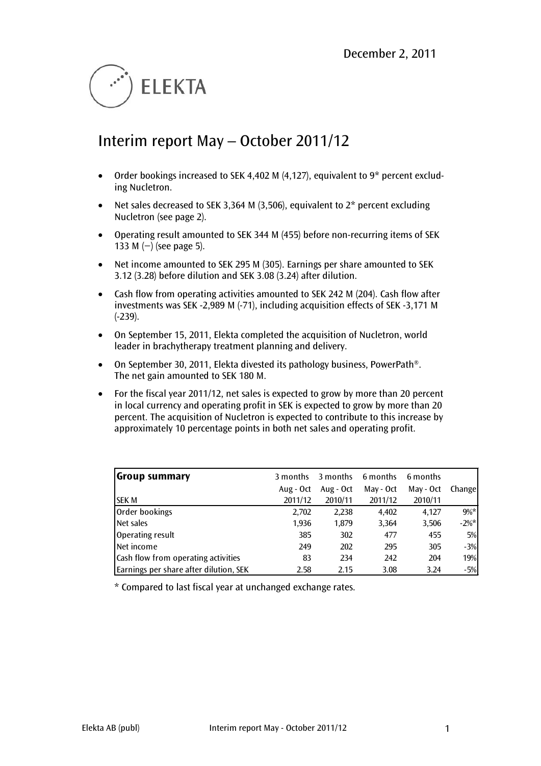

# Interim report May – October 2011/12

- Order bookings increased to SEK 4,402 M (4,127), equivalent to 9\* percent excluding Nucletron.
- Net sales decreased to SEK 3,364 M (3,506), equivalent to  $2^*$  percent excluding Nucletron (see page 2).
- Operating result amounted to SEK 344 M (455) before non-recurring items of SEK 133 M (−) (see page 5).
- Net income amounted to SEK 295 M (305). Earnings per share amounted to SEK 3.12 (3.28) before dilution and SEK 3.08 (3.24) after dilution.
- Cash flow from operating activities amounted to SEK 242 M (204). Cash flow after investments was SEK -2,989 M (-71), including acquisition effects of SEK -3,171 M (-239).
- On September 15, 2011, Elekta completed the acquisition of Nucletron, world leader in brachytherapy treatment planning and delivery.
- On September 30, 2011, Elekta divested its pathology business, PowerPath<sup>®</sup>. The net gain amounted to SEK 180 M.
- For the fiscal year 2011/12, net sales is expected to grow by more than 20 percent in local currency and operating profit in SEK is expected to grow by more than 20 percent. The acquisition of Nucletron is expected to contribute to this increase by approximately 10 percentage points in both net sales and operating profit.

| Group summary                          | 3 months  | 3 months  | 6 months  | 6 months  |          |
|----------------------------------------|-----------|-----------|-----------|-----------|----------|
|                                        | Aug - Oct | Aug - Oct | May - Oct | May - Oct | Changel  |
| <b>SEK M</b>                           | 2011/12   | 2010/11   | 2011/12   | 2010/11   |          |
| Order bookings                         | 2,702     | 2,238     | 4,402     | 4.127     | $9\%*$   |
| Net sales                              | 1,936     | 1,879     | 3,364     | 3,506     | $-2\%$ * |
| Operating result                       | 385       | 302       | 477       | 455       | 5%       |
| Net income                             | 249       | 202       | 295       | 305       | $-3%$    |
| Cash flow from operating activities    | 83        | 234       | 242       | 204       | 19%      |
| Earnings per share after dilution, SEK | 2.58      | 2.15      | 3.08      | 3.24      | $-5%$    |

\* Compared to last fiscal year at unchanged exchange rates.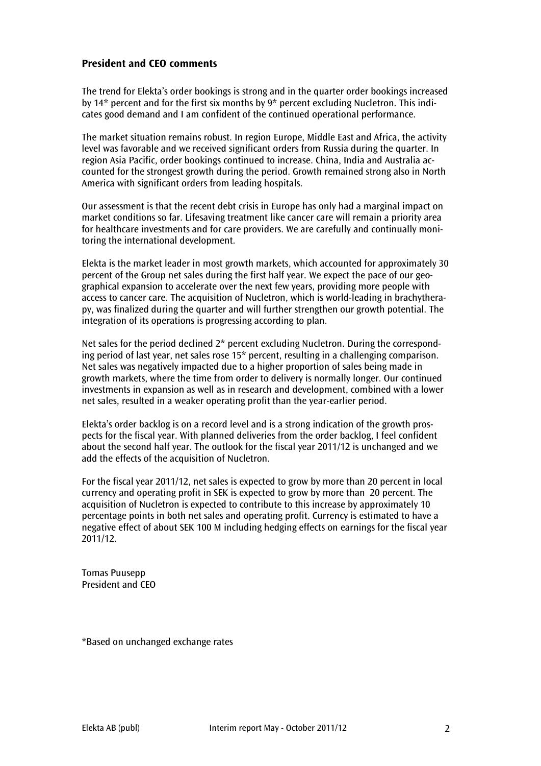# **President and CEO comments**

The trend for Elekta's order bookings is strong and in the quarter order bookings increased by 14\* percent and for the first six months by 9\* percent excluding Nucletron. This indicates good demand and I am confident of the continued operational performance.

The market situation remains robust. In region Europe, Middle East and Africa, the activity level was favorable and we received significant orders from Russia during the quarter. In region Asia Pacific, order bookings continued to increase. China, India and Australia accounted for the strongest growth during the period. Growth remained strong also in North America with significant orders from leading hospitals.

Our assessment is that the recent debt crisis in Europe has only had a marginal impact on market conditions so far. Lifesaving treatment like cancer care will remain a priority area for healthcare investments and for care providers. We are carefully and continually monitoring the international development.

Elekta is the market leader in most growth markets, which accounted for approximately 30 percent of the Group net sales during the first half year. We expect the pace of our geographical expansion to accelerate over the next few years, providing more people with access to cancer care. The acquisition of Nucletron, which is world-leading in brachytherapy, was finalized during the quarter and will further strengthen our growth potential. The integration of its operations is progressing according to plan.

Net sales for the period declined 2\* percent excluding Nucletron. During the corresponding period of last year, net sales rose 15\* percent, resulting in a challenging comparison. Net sales was negatively impacted due to a higher proportion of sales being made in growth markets, where the time from order to delivery is normally longer. Our continued investments in expansion as well as in research and development, combined with a lower net sales, resulted in a weaker operating profit than the year-earlier period.

Elekta's order backlog is on a record level and is a strong indication of the growth prospects for the fiscal year. With planned deliveries from the order backlog, I feel confident about the second half year. The outlook for the fiscal year 2011/12 is unchanged and we add the effects of the acquisition of Nucletron.

For the fiscal year 2011/12, net sales is expected to grow by more than 20 percent in local currency and operating profit in SEK is expected to grow by more than 20 percent. The acquisition of Nucletron is expected to contribute to this increase by approximately 10 percentage points in both net sales and operating profit. Currency is estimated to have a negative effect of about SEK 100 M including hedging effects on earnings for the fiscal year 2011/12.

Tomas Puusepp President and CEO

\*Based on unchanged exchange rates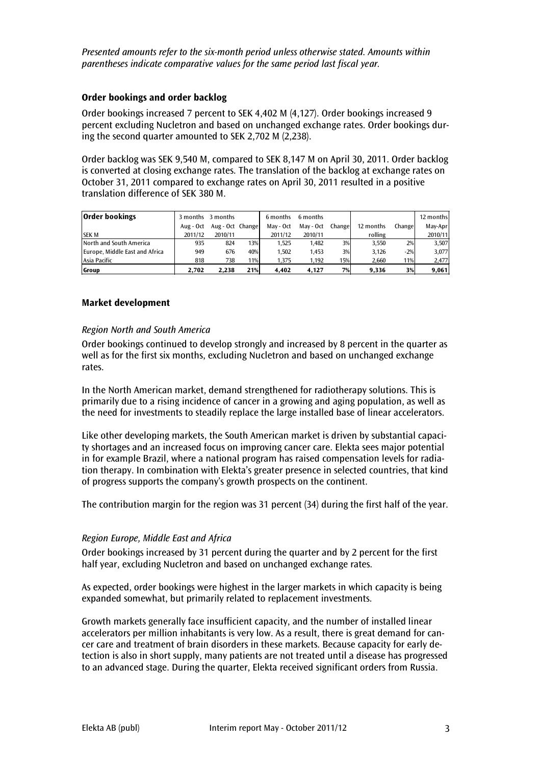*Presented amounts refer to the six-month period unless otherwise stated. Amounts within parentheses indicate comparative values for the same period last fiscal year.*

#### **Order bookings and order backlog**

Order bookings increased 7 percent to SEK 4,402 M (4,127). Order bookings increased 9 percent excluding Nucletron and based on unchanged exchange rates. Order bookings during the second quarter amounted to SEK 2,702 M (2,238).

Order backlog was SEK 9,540 M, compared to SEK 8,147 M on April 30, 2011. Order backlog is converted at closing exchange rates. The translation of the backlog at exchange rates on October 31, 2011 compared to exchange rates on April 30, 2011 resulted in a positive translation difference of SEK 380 M.

| <b>Order bookings</b>          | 3 months  | 3 months         |     | 6 months  | 6 months  |        |           |         | 12 months |
|--------------------------------|-----------|------------------|-----|-----------|-----------|--------|-----------|---------|-----------|
|                                | Aug - Oct | Aug - Oct Change |     | May - Oct | May - Oct | Change | 12 months | Changel | May-Apr   |
| <b>SEKM</b>                    | 2011/12   | 2010/11          |     | 2011/12   | 2010/11   |        | rolling   |         | 2010/11   |
| North and South America        | 935       | 824              | 13% | 1.525     | 1,482     | 3%     | 3.550     | 2%      | 3,507     |
| Europe, Middle East and Africa | 949       | 676              | 40% | 1.502     | 1.453     | 3%     | 3.126     | $-2%$   | 3,077     |
| Asia Pacific                   | 818       | 738              | 11% | 1.375     | 1.192     | 15%    | 2.660     | 11%     | 2,477     |
| Group                          | 2.702     | 2.238            | 21% | 4.402     | 4.127     | 7%     | 9,336     | 3%      | 9,061     |

#### **Market development**

#### *Region North and South America*

Order bookings continued to develop strongly and increased by 8 percent in the quarter as well as for the first six months, excluding Nucletron and based on unchanged exchange rates.

In the North American market, demand strengthened for radiotherapy solutions. This is primarily due to a rising incidence of cancer in a growing and aging population, as well as the need for investments to steadily replace the large installed base of linear accelerators.

Like other developing markets, the South American market is driven by substantial capacity shortages and an increased focus on improving cancer care. Elekta sees major potential in for example Brazil, where a national program has raised compensation levels for radiation therapy. In combination with Elekta's greater presence in selected countries, that kind of progress supports the company's growth prospects on the continent.

The contribution margin for the region was 31 percent (34) during the first half of the year.

#### *Region Europe, Middle East and Africa*

Order bookings increased by 31 percent during the quarter and by 2 percent for the first half year, excluding Nucletron and based on unchanged exchange rates.

As expected, order bookings were highest in the larger markets in which capacity is being expanded somewhat, but primarily related to replacement investments.

Growth markets generally face insufficient capacity, and the number of installed linear accelerators per million inhabitants is very low. As a result, there is great demand for cancer care and treatment of brain disorders in these markets. Because capacity for early detection is also in short supply, many patients are not treated until a disease has progressed to an advanced stage. During the quarter, Elekta received significant orders from Russia.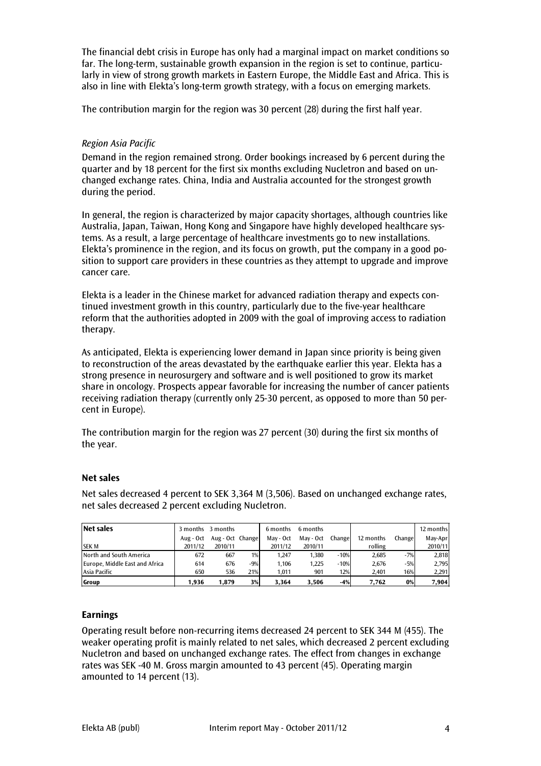The financial debt crisis in Europe has only had a marginal impact on market conditions so far. The long-term, sustainable growth expansion in the region is set to continue, particularly in view of strong growth markets in Eastern Europe, the Middle East and Africa. This is also in line with Elekta's long-term growth strategy, with a focus on emerging markets.

The contribution margin for the region was 30 percent (28) during the first half year.

### *Region Asia Pacific*

Demand in the region remained strong. Order bookings increased by 6 percent during the quarter and by 18 percent for the first six months excluding Nucletron and based on unchanged exchange rates. China, India and Australia accounted for the strongest growth during the period.

In general, the region is characterized by major capacity shortages, although countries like Australia, Japan, Taiwan, Hong Kong and Singapore have highly developed healthcare systems. As a result, a large percentage of healthcare investments go to new installations. Elekta's prominence in the region, and its focus on growth, put the company in a good position to support care providers in these countries as they attempt to upgrade and improve cancer care.

Elekta is a leader in the Chinese market for advanced radiation therapy and expects continued investment growth in this country, particularly due to the five-year healthcare reform that the authorities adopted in 2009 with the goal of improving access to radiation therapy.

As anticipated, Elekta is experiencing lower demand in Japan since priority is being given to reconstruction of the areas devastated by the earthquake earlier this year. Elekta has a strong presence in neurosurgery and software and is well positioned to grow its market share in oncology. Prospects appear favorable for increasing the number of cancer patients receiving radiation therapy (currently only 25-30 percent, as opposed to more than 50 percent in Europe).

The contribution margin for the region was 27 percent (30) during the first six months of the year.

#### **Net sales**

| <b>Net sales</b>               |           | 3 months 3 months |       | 6 months  | 6 months  |        |           |         | 12 months |
|--------------------------------|-----------|-------------------|-------|-----------|-----------|--------|-----------|---------|-----------|
|                                | Aug - Oct | Aug - Oct Change  |       | May - Oct | May - Oct | Change | 12 months | Changel | May-Apr   |
| <b>SEKM</b>                    | 2011/12   | 2010/11           |       | 2011/12   | 2010/11   |        | rolling   |         | 2010/11   |
| North and South America        | 672       | 667               | 1%    | 1.247     | 1.380     | $-10%$ | 2.685     | $-7%$   | 2,818     |
| Europe, Middle East and Africa | 614       | 676               | $-9%$ | 1.106     | 1,225     | $-10%$ | 2,676     | $-5%$   | 2,795     |
| Asia Pacific                   | 650       | 536               | 21%   | 1.011     | 901       | 12%    | 2.401     | 16%     | 2,291     |
| Group                          | 1.936     | 1.879             | 3%    | 3.364     | 3,506     | $-4%$  | 7,762     | 0%      | 7,904     |

Net sales decreased 4 percent to SEK 3,364 M (3,506). Based on unchanged exchange rates, net sales decreased 2 percent excluding Nucletron.

#### **Earnings**

Operating result before non-recurring items decreased 24 percent to SEK 344 M (455). The weaker operating profit is mainly related to net sales, which decreased 2 percent excluding Nucletron and based on unchanged exchange rates. The effect from changes in exchange rates was SEK -40 M. Gross margin amounted to 43 percent (45). Operating margin amounted to 14 percent (13).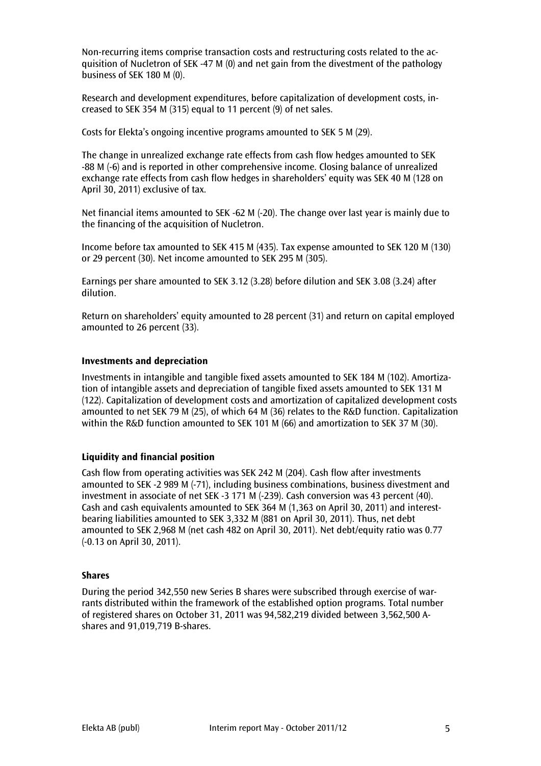Non-recurring items comprise transaction costs and restructuring costs related to the acquisition of Nucletron of SEK -47 M (0) and net gain from the divestment of the pathology business of SEK 180 M (0).

Research and development expenditures, before capitalization of development costs, increased to SEK 354 M (315) equal to 11 percent (9) of net sales.

Costs for Elekta's ongoing incentive programs amounted to SEK 5 M (29).

The change in unrealized exchange rate effects from cash flow hedges amounted to SEK -88 M (-6) and is reported in other comprehensive income. Closing balance of unrealized exchange rate effects from cash flow hedges in shareholders' equity was SEK 40 M (128 on April 30, 2011) exclusive of tax.

Net financial items amounted to SEK -62 M (-20). The change over last year is mainly due to the financing of the acquisition of Nucletron.

Income before tax amounted to SEK 415 M (435). Tax expense amounted to SEK 120 M (130) or 29 percent (30). Net income amounted to SEK 295 M (305).

Earnings per share amounted to SEK 3.12 (3.28) before dilution and SEK 3.08 (3.24) after dilution.

Return on shareholders' equity amounted to 28 percent (31) and return on capital employed amounted to 26 percent (33).

#### **Investments and depreciation**

Investments in intangible and tangible fixed assets amounted to SEK 184 M (102). Amortization of intangible assets and depreciation of tangible fixed assets amounted to SEK 131 M (122). Capitalization of development costs and amortization of capitalized development costs amounted to net SEK 79 M (25), of which 64 M (36) relates to the R&D function. Capitalization within the R&D function amounted to SEK 101 M (66) and amortization to SEK 37 M (30).

#### **Liquidity and financial position**

Cash flow from operating activities was SEK 242 M (204). Cash flow after investments amounted to SEK -2 989 M (-71), including business combinations, business divestment and investment in associate of net SEK -3 171 M (-239). Cash conversion was 43 percent (40). Cash and cash equivalents amounted to SEK 364 M (1,363 on April 30, 2011) and interestbearing liabilities amounted to SEK 3,332 M (881 on April 30, 2011). Thus, net debt amounted to SEK 2,968 M (net cash 482 on April 30, 2011). Net debt/equity ratio was 0.77 (-0.13 on April 30, 2011).

#### **Shares**

During the period 342,550 new Series B shares were subscribed through exercise of warrants distributed within the framework of the established option programs. Total number of registered shares on October 31, 2011 was 94,582,219 divided between 3,562,500 Ashares and 91,019,719 B-shares.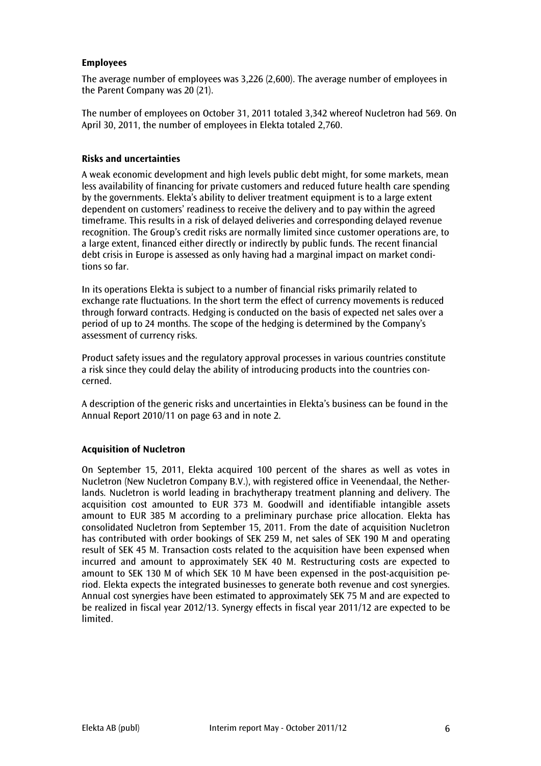### **Employees**

The average number of employees was 3,226 (2,600). The average number of employees in the Parent Company was 20 (21).

The number of employees on October 31, 2011 totaled 3,342 whereof Nucletron had 569. On April 30, 2011, the number of employees in Elekta totaled 2,760.

#### **Risks and uncertainties**

A weak economic development and high levels public debt might, for some markets, mean less availability of financing for private customers and reduced future health care spending by the governments. Elekta's ability to deliver treatment equipment is to a large extent dependent on customers' readiness to receive the delivery and to pay within the agreed timeframe. This results in a risk of delayed deliveries and corresponding delayed revenue recognition. The Group's credit risks are normally limited since customer operations are, to a large extent, financed either directly or indirectly by public funds. The recent financial debt crisis in Europe is assessed as only having had a marginal impact on market conditions so far.

In its operations Elekta is subject to a number of financial risks primarily related to exchange rate fluctuations. In the short term the effect of currency movements is reduced through forward contracts. Hedging is conducted on the basis of expected net sales over a period of up to 24 months. The scope of the hedging is determined by the Company's assessment of currency risks.

Product safety issues and the regulatory approval processes in various countries constitute a risk since they could delay the ability of introducing products into the countries concerned.

A description of the generic risks and uncertainties in Elekta's business can be found in the Annual Report 2010/11 on page 63 and in note 2.

#### **Acquisition of Nucletron**

On September 15, 2011, Elekta acquired 100 percent of the shares as well as votes in Nucletron (New Nucletron Company B.V.), with registered office in Veenendaal, the Netherlands. Nucletron is world leading in brachytherapy treatment planning and delivery. The acquisition cost amounted to EUR 373 M. Goodwill and identifiable intangible assets amount to EUR 385 M according to a preliminary purchase price allocation. Elekta has consolidated Nucletron from September 15, 2011. From the date of acquisition Nucletron has contributed with order bookings of SEK 259 M, net sales of SEK 190 M and operating result of SEK 45 M. Transaction costs related to the acquisition have been expensed when incurred and amount to approximately SEK 40 M. Restructuring costs are expected to amount to SEK 130 M of which SEK 10 M have been expensed in the post-acquisition period. Elekta expects the integrated businesses to generate both revenue and cost synergies. Annual cost synergies have been estimated to approximately SEK 75 M and are expected to be realized in fiscal year 2012/13. Synergy effects in fiscal year 2011/12 are expected to be limited.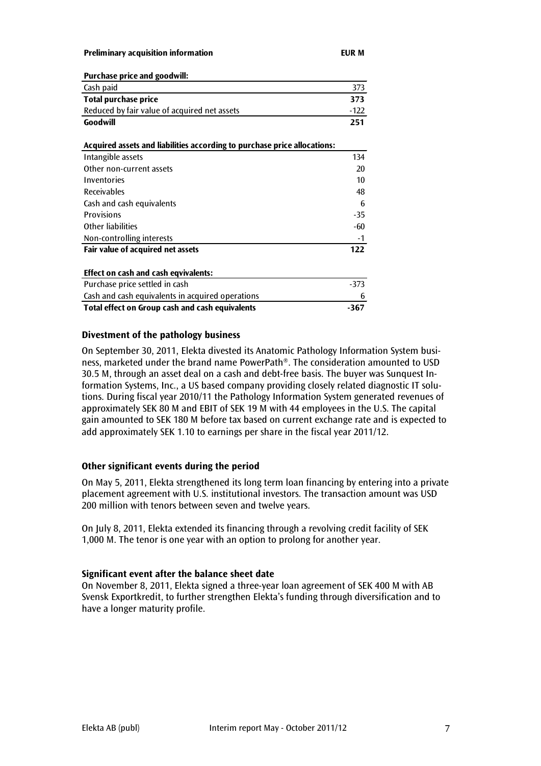**Preliminary acquisition information EUR M**

| <b>Purchase price and goodwill:</b>                                      |        |
|--------------------------------------------------------------------------|--------|
| Cash paid                                                                | 373    |
| <b>Total purchase price</b>                                              | 373    |
| Reduced by fair value of acquired net assets                             | $-122$ |
| Goodwill                                                                 | 251    |
| Acquired assets and liabilities according to purchase price allocations: |        |
| Intangible assets                                                        | 134    |
| Other non-current assets                                                 | 20     |
| Inventories                                                              | 10     |
| <b>Receivables</b>                                                       | 48     |
| Cash and cash equivalents                                                | 6      |
| <b>Provisions</b>                                                        | -35    |
| <b>Other liabilities</b>                                                 | -60    |
| Non-controlling interests                                                | -1     |
| Fair value of acquired net assets                                        | 122    |
| <b>Effect on cash and cash eqvivalents:</b>                              |        |
| Purchase price settled in cash                                           | -373   |
| Cash and cash equivalents in acquired operations                         | 6      |
| Total effect on Group cash and cash equivalents                          | $-367$ |
|                                                                          |        |

#### **Divestment of the pathology business**

On September 30, 2011, Elekta divested its Anatomic Pathology Information System business, marketed under the brand name PowerPath®. The consideration amounted to USD 30.5 M, through an asset deal on a cash and debt-free basis. The buyer was Sunquest Information Systems, Inc., a US based company providing closely related diagnostic IT solutions. During fiscal year 2010/11 the Pathology Information System generated revenues of approximately SEK 80 M and EBIT of SEK 19 M with 44 employees in the U.S. The capital gain amounted to SEK 180 M before tax based on current exchange rate and is expected to add approximately SEK 1.10 to earnings per share in the fiscal year 2011/12.

#### **Other significant events during the period**

On May 5, 2011, Elekta strengthened its long term loan financing by entering into a private placement agreement with U.S. institutional investors. The transaction amount was USD 200 million with tenors between seven and twelve years.

On July 8, 2011, Elekta extended its financing through a revolving credit facility of SEK 1,000 M. The tenor is one year with an option to prolong for another year.

#### **Significant event after the balance sheet date**

On November 8, 2011, Elekta signed a three-year loan agreement of SEK 400 M with AB Svensk Exportkredit, to further strengthen Elekta's funding through diversification and to have a longer maturity profile.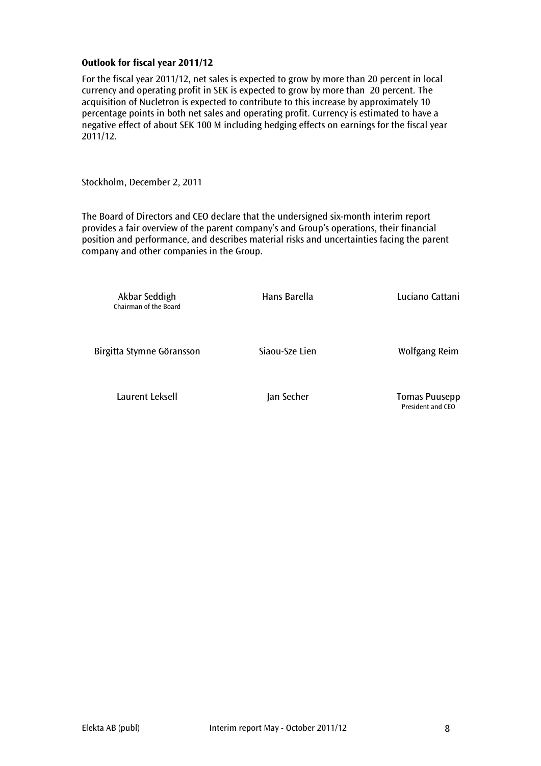#### **Outlook for fiscal year 2011/12**

For the fiscal year 2011/12, net sales is expected to grow by more than 20 percent in local currency and operating profit in SEK is expected to grow by more than 20 percent. The acquisition of Nucletron is expected to contribute to this increase by approximately 10 percentage points in both net sales and operating profit. Currency is estimated to have a negative effect of about SEK 100 M including hedging effects on earnings for the fiscal year 2011/12.

Stockholm, December 2, 2011

The Board of Directors and CEO declare that the undersigned six-month interim report provides a fair overview of the parent company's and Group's operations, their financial position and performance, and describes material risks and uncertainties facing the parent company and other companies in the Group.

Akbar Seddigh **Hans Barella** Hans Barella Luciano Cattani Chairman of the Board Birgitta Stymne Göransson Siaou-Sze Lien Molfgang Reim Laurent Leksell Jan Secher Tomas Puusepp President and CEO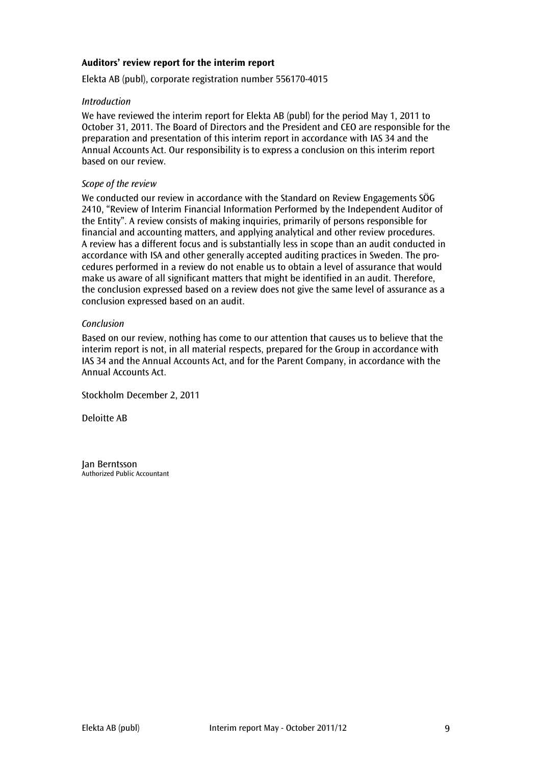#### **Auditors' review report for the interim report**

Elekta AB (publ), corporate registration number 556170-4015

#### *Introduction*

We have reviewed the interim report for Elekta AB (publ) for the period May 1, 2011 to October 31, 2011. The Board of Directors and the President and CEO are responsible for the preparation and presentation of this interim report in accordance with IAS 34 and the Annual Accounts Act. Our responsibility is to express a conclusion on this interim report based on our review.

#### *Scope of the review*

We conducted our review in accordance with the Standard on Review Engagements SÖG 2410, "Review of Interim Financial Information Performed by the Independent Auditor of the Entity". A review consists of making inquiries, primarily of persons responsible for financial and accounting matters, and applying analytical and other review procedures. A review has a different focus and is substantially less in scope than an audit conducted in accordance with ISA and other generally accepted auditing practices in Sweden. The procedures performed in a review do not enable us to obtain a level of assurance that would make us aware of all significant matters that might be identified in an audit. Therefore, the conclusion expressed based on a review does not give the same level of assurance as a conclusion expressed based on an audit.

#### *Conclusion*

Based on our review, nothing has come to our attention that causes us to believe that the interim report is not, in all material respects, prepared for the Group in accordance with IAS 34 and the Annual Accounts Act, and for the Parent Company, in accordance with the Annual Accounts Act.

Stockholm December 2, 2011

Deloitte AB

Jan Berntsson Authorized Public Accountant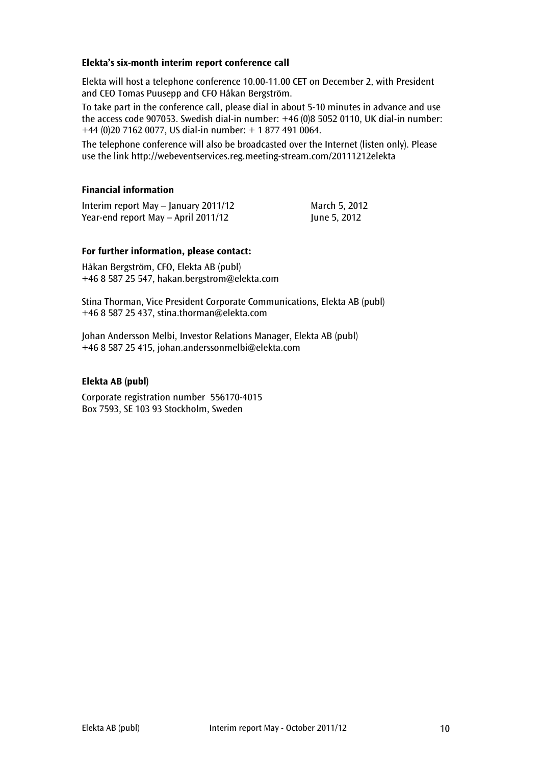#### **Elekta's six-month interim report conference call**

Elekta will host a telephone conference 10.00-11.00 CET on December 2, with President and CEO Tomas Puusepp and CFO Håkan Bergström.

To take part in the conference call, please dial in about 5-10 minutes in advance and use the access code 907053. Swedish dial-in number: +46 (0)8 5052 0110, UK dial-in number: +44 (0)20 7162 0077, US dial-in number: + 1 877 491 0064.

The telephone conference will also be broadcasted over the Internet (listen only). Please use the link<http://webeventservices.reg.meeting-stream.com/20111212elekta>

#### **Financial information**

Interim report May – January 2011/12 March 5, 2012 Year-end report May – April 2011/12 June 5, 2012

#### **For further information, please contact:**

Håkan Bergström, CFO, Elekta AB (publ) +46 8 587 25 547, hakan.bergstrom@elekta.com

Stina Thorman, Vice President Corporate Communications, Elekta AB (publ) +46 8 587 25 437, stina.thorman@elekta.com

Johan Andersson Melbi, Investor Relations Manager, Elekta AB (publ) +46 8 587 25 415, [johan.anderssonmelbi@elekta.com](mailto:johan.anderssonmelbi@elekta.com)

#### **Elekta AB (publ)**

Corporate registration number 556170-4015 Box 7593, SE 103 93 Stockholm, Sweden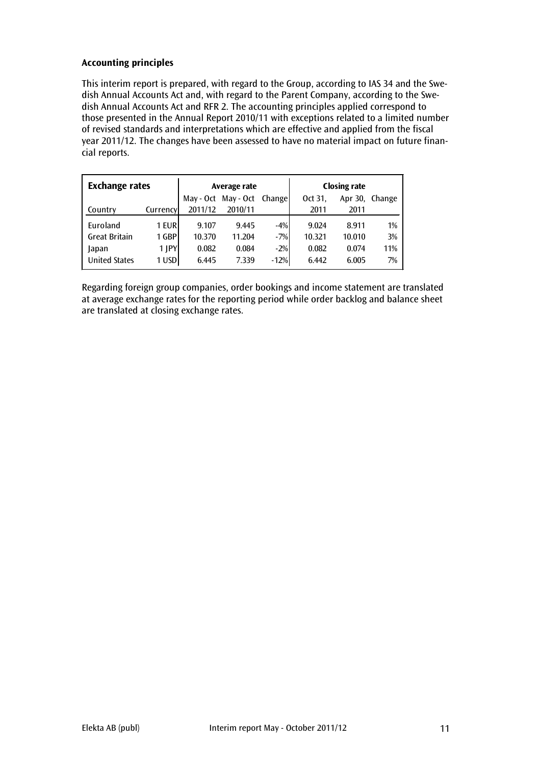# **Accounting principles**

This interim report is prepared, with regard to the Group, according to IAS 34 and the Swedish Annual Accounts Act and, with regard to the Parent Company, according to the Swedish Annual Accounts Act and RFR 2. The accounting principles applied correspond to those presented in the Annual Report 2010/11 with exceptions related to a limited number of revised standards and interpretations which are effective and applied from the fiscal year 2011/12. The changes have been assessed to have no material impact on future financial reports.

| <b>Exchange rates</b> |            |         | Average rate               |        | <b>Closing rate</b> |         |        |  |
|-----------------------|------------|---------|----------------------------|--------|---------------------|---------|--------|--|
|                       |            |         | May - Oct May - Oct Change |        | Oct 31.             | Apr 30, | Change |  |
| Country               | Currency   | 2011/12 | 2010/11                    |        | 2011                | 2011    |        |  |
| Euroland              | 1 EURI     | 9.107   | 9.445                      | $-4%$  | 9.024               | 8.911   | 1%     |  |
| <b>Great Britain</b>  | 1 GBP      | 10.370  | 11.204                     | $-7%$  | 10.321              | 10.010  | 3%     |  |
| Japan                 | $1$ $ PY $ | 0.082   | 0.084                      | $-2%$  | 0.082               | 0.074   | 11%    |  |
| <b>United States</b>  | 1 USD      | 6.445   | 7.339                      | $-12%$ | 6.442               | 6.005   | 7%     |  |

Regarding foreign group companies, order bookings and income statement are translated at average exchange rates for the reporting period while order backlog and balance sheet are translated at closing exchange rates.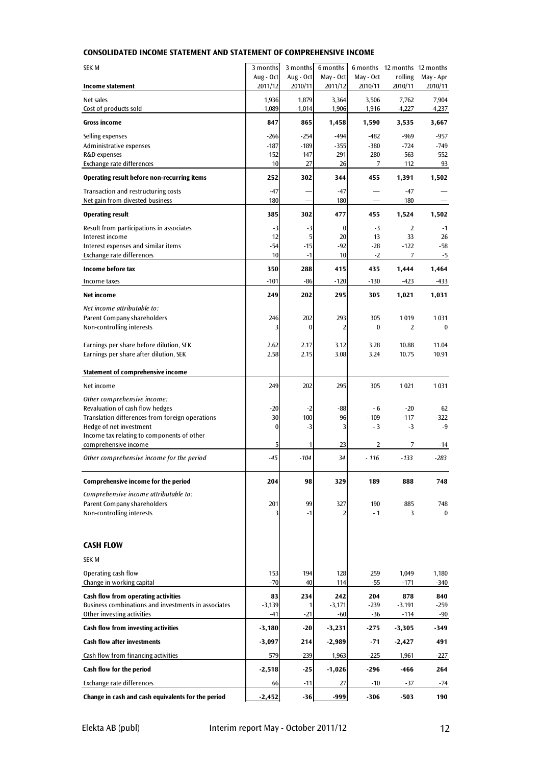#### **CONSOLIDATED INCOME STATEMENT AND STATEMENT OF COMPREHENSIVE INCOME**

| <b>SEK M</b>                                                          | 3 months             | 3 months             | 6 months             |                      | 6 months 12 months 12 months |                      |
|-----------------------------------------------------------------------|----------------------|----------------------|----------------------|----------------------|------------------------------|----------------------|
| Income statement                                                      | Aug - Oct<br>2011/12 | Aug - Oct<br>2010/11 | May - Oct<br>2011/12 | May - Oct<br>2010/11 | rolling<br>2010/11           | May - Apr<br>2010/11 |
| Net sales                                                             | 1,936                | 1,879                | 3,364                | 3,506                | 7,762                        | 7,904                |
| Cost of products sold                                                 | $-1,089$             | $-1,014$             | $-1,906$             | $-1,916$             | $-4,227$                     | $-4,237$             |
| Gross income                                                          | 847                  | 865                  | 1,458                | 1,590                | 3,535                        | 3,667                |
| Selling expenses                                                      | $-266$               | $-254$               | $-494$               | -482                 | $-969$                       | $-957$               |
| Administrative expenses                                               | $-187$               | $-189$               | $-355$               | $-380$               | $-724$                       | $-749$               |
| R&D expenses<br>Exchange rate differences                             | $-152$<br>10         | $-147$<br>27         | $-291$<br>26         | $-280$<br>7          | $-563$<br>112                | $-552$<br>93         |
| Operating result before non-recurring items                           | 252                  | 302                  | 344                  | 455                  | 1,391                        | 1,502                |
| Transaction and restructuring costs                                   | $-47$                |                      | $-47$                |                      | $-47$                        |                      |
| Net gain from divested business                                       | 180                  |                      | 180                  |                      | 180                          |                      |
| <b>Operating result</b>                                               | 385                  | 302                  | 477                  | 455                  | 1,524                        | 1,502                |
| Result from participations in associates                              | $-3$                 | $-3$                 | $\bf{0}$             | $-3$                 | $\overline{2}$               | $-1$                 |
| Interest income<br>Interest expenses and similar items                | 12<br>$-54$          | 5<br>$-15$           | 20<br>$-92$          | 13<br>$-28$          | 33<br>$-122$                 | 26<br>$-58$          |
| Exchange rate differences                                             | 10                   | $-1$                 | 10                   | $-2$                 | 7                            | $-5$                 |
| Income before tax                                                     | 350                  | 288                  | 415                  | 435                  | 1,444                        | 1,464                |
| Income taxes                                                          | $-101$               | $-86$                | $-120$               | $-130$               | $-423$                       | -433                 |
| Net income                                                            | 249                  | 202                  | 295                  | 305                  | 1,021                        | 1,031                |
| Net income attributable to:                                           |                      |                      |                      |                      |                              |                      |
| Parent Company shareholders                                           | 246                  | 202                  | 293                  | 305                  | 1019                         | 1031                 |
| Non-controlling interests                                             | 3                    | 0                    | 2                    | 0                    | 2                            | $\bf{0}$             |
| Earnings per share before dilution, SEK                               | 2.62                 | 2.17                 | 3.12                 | 3.28                 | 10.88                        | 11.04                |
| Earnings per share after dilution, SEK                                | 2.58                 | 2.15                 | 3.08                 | 3.24                 | 10.75                        | 10.91                |
| Statement of comprehensive income                                     |                      |                      |                      |                      |                              |                      |
| Net income                                                            | 249                  | 202                  | 295                  | 305                  | 1021                         | 1031                 |
| Other comprehensive income:                                           |                      |                      |                      |                      |                              |                      |
| Revaluation of cash flow hedges                                       | -20                  | -2                   | $-88$                | $-6$                 | $-20$                        | 62                   |
| Translation differences from foreign operations                       | $-30$                | $-100$               | 96                   | $-109$               | $-117$                       | $-322$               |
| Hedge of net investment<br>Income tax relating to components of other | $\bf{0}$             | $-3$                 | 3                    | $-3$                 | $-3$                         | $-9$                 |
| comprehensive income                                                  | 5                    | 1                    | 23                   | 2                    | 7                            | $-14$                |
| Other comprehensive income for the period                             | -45                  | $-104$               | 34                   | $-116$               | $-133$                       | $-283$               |
| Comprehensive income for the period                                   | 204                  | 98                   | 329                  | 189                  | 888                          | 748                  |
|                                                                       |                      |                      |                      |                      |                              |                      |
| Comprehensive income attributable to:<br>Parent Company shareholders  | 201                  | 99                   | 327                  | 190                  | 885                          | 748                  |
| Non-controlling interests                                             | 3                    | $-1$                 | 2                    | $-1$                 | 3                            | 0                    |
|                                                                       |                      |                      |                      |                      |                              |                      |
| <b>CASH FLOW</b>                                                      |                      |                      |                      |                      |                              |                      |
|                                                                       |                      |                      |                      |                      |                              |                      |
| <b>SEK M</b>                                                          |                      |                      |                      |                      |                              |                      |
| Operating cash flow<br>Change in working capital                      | 153<br>$-70$         | 194<br>40            | 128<br>114           | 259<br>$-55$         | 1,049<br>$-171$              | 1,180<br>$-340$      |
| Cash flow from operating activities                                   | 83                   | 234                  | 242                  | 204                  | 878                          | 840                  |
| Business combinations and investments in associates                   | $-3,139$             | 1                    | $-3,171$             | $-239$               | $-3.191$                     | $-259$               |
| Other investing activities                                            | -41                  | $-21$                | -60                  | -36                  | $-114$                       | $-90$                |
| Cash flow from investing activities                                   | $-3,180$             | $-20$                | $-3,231$             | -275                 | $-3,305$                     | -349                 |
| <b>Cash flow after investments</b>                                    | $-3,097$             | 214                  | -2,989               | $-71$                | $-2,427$                     | 491                  |
| Cash flow from financing activities                                   | 579                  | $-239$               | 1,963                | $-225$               | 1,961                        | -227                 |
| Cash flow for the period                                              | $-2,518$             | $-25$                | $-1,026$             | -296                 | $-466$                       | 264                  |
| Exchange rate differences                                             | 66                   | $-11$                | 27                   | $-10$                | $-37$                        | -74                  |
| Change in cash and cash equivalents for the period                    | $-2,452$             | $-36$                | -999                 | $-306$               | $-503$                       | 190                  |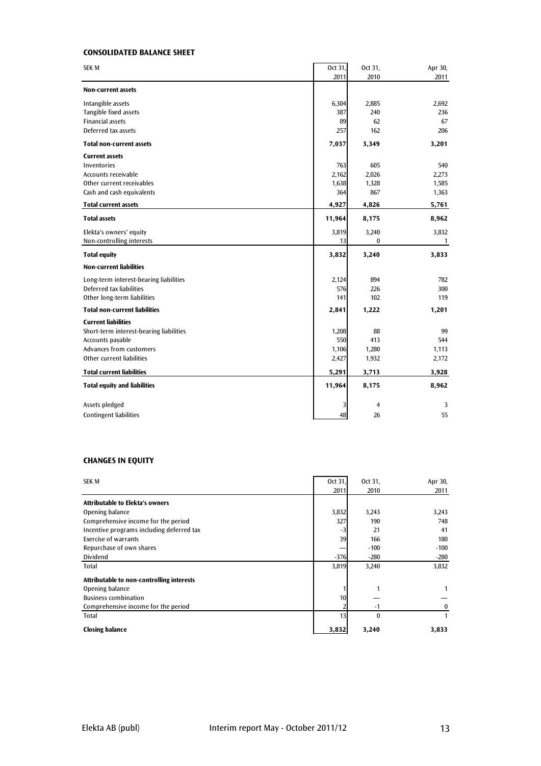#### **CONSOLIDATED BALANCE SHEET**

| 2011<br>2010<br>2011<br><b>Non-current assets</b><br>Intangible assets<br>6,304<br>2,885<br>2,692<br>Tangible fixed assets<br>387<br>240<br>236<br><b>Financial assets</b><br>62<br>67<br>89<br>Deferred tax assets<br>257<br>162<br>206<br><b>Total non-current assets</b><br>7,037<br>3,349<br>3,201<br><b>Current assets</b><br>763<br>605<br><b>Inventories</b><br>540<br>Accounts receivable<br>2,162<br>2,026<br>2,273<br>Other current receivables<br>1,328<br>1,585<br>1,638<br>Cash and cash equivalents<br>364<br>867<br>1,363<br><b>Total current assets</b><br>4,927<br>4,826<br>5,761<br><b>Total assets</b><br>11,964<br>8,175<br>8,962<br>3,819<br>Elekta's owners' equity<br>3,240<br>3,832<br>Non-controlling interests<br>13<br>0<br>$\mathbf{1}$<br><b>Total equity</b><br>3,832<br>3,240<br>3,833<br><b>Non-current liabilities</b><br>Long-term interest-bearing liabilities<br>2,124<br>894<br>782<br>Deferred tax liabilities<br>226<br>576<br>300<br>Other long-term liabilities<br>102<br>141<br>119<br><b>Total non-current liabilities</b><br>2,841<br>1,222<br>1,201<br><b>Current liabilities</b><br>Short-term interest-bearing liabilities<br>1,208<br>88<br>99<br>Accounts payable<br>550<br>413<br>544<br>Advances from customers<br>1,106<br>1,280<br>1,113<br>Other current liabilities<br>2,427<br>1,932<br>2,172<br><b>Total current liabilities</b><br>3,928<br>5,291<br>3,713<br><b>Total equity and liabilities</b><br>11,964<br>8,175<br>8,962<br>Assets pledged<br>3<br>$\overline{4}$<br>3<br><b>Contingent liabilities</b><br>26<br>55<br>48 | <b>SEK M</b> | Oct 31, | Oct 31, | Apr 30, |
|------------------------------------------------------------------------------------------------------------------------------------------------------------------------------------------------------------------------------------------------------------------------------------------------------------------------------------------------------------------------------------------------------------------------------------------------------------------------------------------------------------------------------------------------------------------------------------------------------------------------------------------------------------------------------------------------------------------------------------------------------------------------------------------------------------------------------------------------------------------------------------------------------------------------------------------------------------------------------------------------------------------------------------------------------------------------------------------------------------------------------------------------------------------------------------------------------------------------------------------------------------------------------------------------------------------------------------------------------------------------------------------------------------------------------------------------------------------------------------------------------------------------------------------------------------------------------------------|--------------|---------|---------|---------|
|                                                                                                                                                                                                                                                                                                                                                                                                                                                                                                                                                                                                                                                                                                                                                                                                                                                                                                                                                                                                                                                                                                                                                                                                                                                                                                                                                                                                                                                                                                                                                                                          |              |         |         |         |
|                                                                                                                                                                                                                                                                                                                                                                                                                                                                                                                                                                                                                                                                                                                                                                                                                                                                                                                                                                                                                                                                                                                                                                                                                                                                                                                                                                                                                                                                                                                                                                                          |              |         |         |         |
|                                                                                                                                                                                                                                                                                                                                                                                                                                                                                                                                                                                                                                                                                                                                                                                                                                                                                                                                                                                                                                                                                                                                                                                                                                                                                                                                                                                                                                                                                                                                                                                          |              |         |         |         |
|                                                                                                                                                                                                                                                                                                                                                                                                                                                                                                                                                                                                                                                                                                                                                                                                                                                                                                                                                                                                                                                                                                                                                                                                                                                                                                                                                                                                                                                                                                                                                                                          |              |         |         |         |
|                                                                                                                                                                                                                                                                                                                                                                                                                                                                                                                                                                                                                                                                                                                                                                                                                                                                                                                                                                                                                                                                                                                                                                                                                                                                                                                                                                                                                                                                                                                                                                                          |              |         |         |         |
|                                                                                                                                                                                                                                                                                                                                                                                                                                                                                                                                                                                                                                                                                                                                                                                                                                                                                                                                                                                                                                                                                                                                                                                                                                                                                                                                                                                                                                                                                                                                                                                          |              |         |         |         |
|                                                                                                                                                                                                                                                                                                                                                                                                                                                                                                                                                                                                                                                                                                                                                                                                                                                                                                                                                                                                                                                                                                                                                                                                                                                                                                                                                                                                                                                                                                                                                                                          |              |         |         |         |
|                                                                                                                                                                                                                                                                                                                                                                                                                                                                                                                                                                                                                                                                                                                                                                                                                                                                                                                                                                                                                                                                                                                                                                                                                                                                                                                                                                                                                                                                                                                                                                                          |              |         |         |         |
|                                                                                                                                                                                                                                                                                                                                                                                                                                                                                                                                                                                                                                                                                                                                                                                                                                                                                                                                                                                                                                                                                                                                                                                                                                                                                                                                                                                                                                                                                                                                                                                          |              |         |         |         |
|                                                                                                                                                                                                                                                                                                                                                                                                                                                                                                                                                                                                                                                                                                                                                                                                                                                                                                                                                                                                                                                                                                                                                                                                                                                                                                                                                                                                                                                                                                                                                                                          |              |         |         |         |
|                                                                                                                                                                                                                                                                                                                                                                                                                                                                                                                                                                                                                                                                                                                                                                                                                                                                                                                                                                                                                                                                                                                                                                                                                                                                                                                                                                                                                                                                                                                                                                                          |              |         |         |         |
|                                                                                                                                                                                                                                                                                                                                                                                                                                                                                                                                                                                                                                                                                                                                                                                                                                                                                                                                                                                                                                                                                                                                                                                                                                                                                                                                                                                                                                                                                                                                                                                          |              |         |         |         |
|                                                                                                                                                                                                                                                                                                                                                                                                                                                                                                                                                                                                                                                                                                                                                                                                                                                                                                                                                                                                                                                                                                                                                                                                                                                                                                                                                                                                                                                                                                                                                                                          |              |         |         |         |
|                                                                                                                                                                                                                                                                                                                                                                                                                                                                                                                                                                                                                                                                                                                                                                                                                                                                                                                                                                                                                                                                                                                                                                                                                                                                                                                                                                                                                                                                                                                                                                                          |              |         |         |         |
|                                                                                                                                                                                                                                                                                                                                                                                                                                                                                                                                                                                                                                                                                                                                                                                                                                                                                                                                                                                                                                                                                                                                                                                                                                                                                                                                                                                                                                                                                                                                                                                          |              |         |         |         |
|                                                                                                                                                                                                                                                                                                                                                                                                                                                                                                                                                                                                                                                                                                                                                                                                                                                                                                                                                                                                                                                                                                                                                                                                                                                                                                                                                                                                                                                                                                                                                                                          |              |         |         |         |
|                                                                                                                                                                                                                                                                                                                                                                                                                                                                                                                                                                                                                                                                                                                                                                                                                                                                                                                                                                                                                                                                                                                                                                                                                                                                                                                                                                                                                                                                                                                                                                                          |              |         |         |         |
|                                                                                                                                                                                                                                                                                                                                                                                                                                                                                                                                                                                                                                                                                                                                                                                                                                                                                                                                                                                                                                                                                                                                                                                                                                                                                                                                                                                                                                                                                                                                                                                          |              |         |         |         |
|                                                                                                                                                                                                                                                                                                                                                                                                                                                                                                                                                                                                                                                                                                                                                                                                                                                                                                                                                                                                                                                                                                                                                                                                                                                                                                                                                                                                                                                                                                                                                                                          |              |         |         |         |
|                                                                                                                                                                                                                                                                                                                                                                                                                                                                                                                                                                                                                                                                                                                                                                                                                                                                                                                                                                                                                                                                                                                                                                                                                                                                                                                                                                                                                                                                                                                                                                                          |              |         |         |         |
|                                                                                                                                                                                                                                                                                                                                                                                                                                                                                                                                                                                                                                                                                                                                                                                                                                                                                                                                                                                                                                                                                                                                                                                                                                                                                                                                                                                                                                                                                                                                                                                          |              |         |         |         |
|                                                                                                                                                                                                                                                                                                                                                                                                                                                                                                                                                                                                                                                                                                                                                                                                                                                                                                                                                                                                                                                                                                                                                                                                                                                                                                                                                                                                                                                                                                                                                                                          |              |         |         |         |
|                                                                                                                                                                                                                                                                                                                                                                                                                                                                                                                                                                                                                                                                                                                                                                                                                                                                                                                                                                                                                                                                                                                                                                                                                                                                                                                                                                                                                                                                                                                                                                                          |              |         |         |         |
|                                                                                                                                                                                                                                                                                                                                                                                                                                                                                                                                                                                                                                                                                                                                                                                                                                                                                                                                                                                                                                                                                                                                                                                                                                                                                                                                                                                                                                                                                                                                                                                          |              |         |         |         |
|                                                                                                                                                                                                                                                                                                                                                                                                                                                                                                                                                                                                                                                                                                                                                                                                                                                                                                                                                                                                                                                                                                                                                                                                                                                                                                                                                                                                                                                                                                                                                                                          |              |         |         |         |
|                                                                                                                                                                                                                                                                                                                                                                                                                                                                                                                                                                                                                                                                                                                                                                                                                                                                                                                                                                                                                                                                                                                                                                                                                                                                                                                                                                                                                                                                                                                                                                                          |              |         |         |         |
|                                                                                                                                                                                                                                                                                                                                                                                                                                                                                                                                                                                                                                                                                                                                                                                                                                                                                                                                                                                                                                                                                                                                                                                                                                                                                                                                                                                                                                                                                                                                                                                          |              |         |         |         |
|                                                                                                                                                                                                                                                                                                                                                                                                                                                                                                                                                                                                                                                                                                                                                                                                                                                                                                                                                                                                                                                                                                                                                                                                                                                                                                                                                                                                                                                                                                                                                                                          |              |         |         |         |
|                                                                                                                                                                                                                                                                                                                                                                                                                                                                                                                                                                                                                                                                                                                                                                                                                                                                                                                                                                                                                                                                                                                                                                                                                                                                                                                                                                                                                                                                                                                                                                                          |              |         |         |         |
|                                                                                                                                                                                                                                                                                                                                                                                                                                                                                                                                                                                                                                                                                                                                                                                                                                                                                                                                                                                                                                                                                                                                                                                                                                                                                                                                                                                                                                                                                                                                                                                          |              |         |         |         |
|                                                                                                                                                                                                                                                                                                                                                                                                                                                                                                                                                                                                                                                                                                                                                                                                                                                                                                                                                                                                                                                                                                                                                                                                                                                                                                                                                                                                                                                                                                                                                                                          |              |         |         |         |

#### **CHANGES IN EQUITY**

| <b>SEK M</b>                              | Oct 31. | Oct 31,      | Apr 30, |
|-------------------------------------------|---------|--------------|---------|
|                                           | 2011    | 2010         | 2011    |
|                                           |         |              |         |
| <b>Attributable to Elekta's owners</b>    |         |              |         |
| Opening balance                           | 3,832   | 3,243        | 3,243   |
| Comprehensive income for the period       | 327     | 190          | 748     |
| Incentive programs including deferred tax | $-3$    | 21           | 41      |
| Exercise of warrants                      | 39      | 166          | 180     |
| Repurchase of own shares                  |         | $-100$       | $-100$  |
| Dividend                                  | $-376$  | $-280$       | $-280$  |
| Total                                     | 3,819   | 3,240        | 3,832   |
| Attributable to non-controlling interests |         |              |         |
| Opening balance                           |         |              |         |
| <b>Business combination</b>               | 10      |              |         |
| Comprehensive income for the period       |         | $-1$         | 0       |
| <b>Total</b>                              | 13      | $\mathbf{0}$ |         |
| <b>Closing balance</b>                    | 3,832   | 3,240        | 3,833   |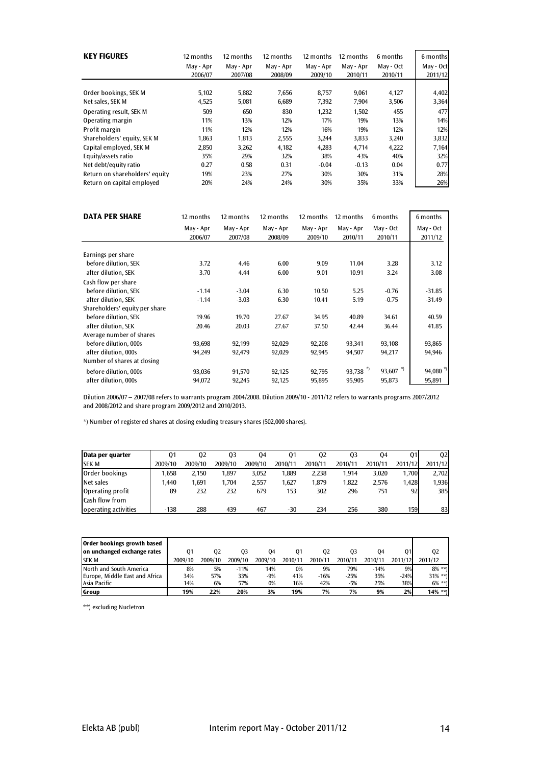| <b>KEY FIGURES</b>             | 12 months | 12 months | 12 months | 12 months | 12 months | 6 months  | 6 months  |
|--------------------------------|-----------|-----------|-----------|-----------|-----------|-----------|-----------|
|                                | May - Apr | May - Apr | May - Apr | May - Apr | May - Apr | May - Oct | May - Oct |
|                                | 2006/07   | 2007/08   | 2008/09   | 2009/10   | 2010/11   | 2010/11   | 2011/12   |
|                                |           |           |           |           |           |           |           |
| Order bookings, SEK M          | 5,102     | 5,882     | 7,656     | 8,757     | 9,061     | 4,127     | 4,402     |
| Net sales, SEK M               | 4,525     | 5,081     | 6,689     | 7,392     | 7,904     | 3,506     | 3,364     |
| Operating result, SEK M        | 509       | 650       | 830       | 1,232     | 1,502     | 455       | 477       |
| Operating margin               | 11%       | 13%       | 12%       | 17%       | 19%       | 13%       | 14%       |
| Profit margin                  | 11%       | 12%       | 12%       | 16%       | 19%       | 12%       | 12%       |
| Shareholders' equity, SEK M    | 1,863     | 1,813     | 2,555     | 3,244     | 3,833     | 3,240     | 3,832     |
| Capital employed, SEK M        | 2,850     | 3,262     | 4,182     | 4,283     | 4,714     | 4,222     | 7,164     |
| Equity/assets ratio            | 35%       | 29%       | 32%       | 38%       | 43%       | 40%       | 32%       |
| Net debt/equity ratio          | 0.27      | 0.58      | 0.31      | $-0.04$   | $-0.13$   | 0.04      | 0.77      |
| Return on shareholders' equity | 19%       | 23%       | 27%       | 30%       | 30%       | 31%       | 28%       |
| Return on capital employed     | 20%       | 24%       | 24%       | 30%       | 35%       | 33%       | 26%       |

| <b>DATA PER SHARE</b>          | 12 months | 12 months | 12 months | 12 months | 12 months | 6 months   | 6 months              |
|--------------------------------|-----------|-----------|-----------|-----------|-----------|------------|-----------------------|
|                                | May - Apr | May - Apr | May - Apr | May - Apr | May - Apr | May - Oct  | May - Oct             |
|                                | 2006/07   | 2007/08   | 2008/09   | 2009/10   | 2010/11   | 2010/11    | 2011/12               |
| Earnings per share             |           |           |           |           |           |            |                       |
|                                |           |           |           |           |           |            |                       |
| before dilution, SEK           | 3.72      | 4.46      | 6.00      | 9.09      | 11.04     | 3.28       | 3.12                  |
| after dilution, SEK            | 3.70      | 4.44      | 6.00      | 9.01      | 10.91     | 3.24       | 3.08                  |
| Cash flow per share            |           |           |           |           |           |            |                       |
| before dilution. SEK           | $-1.14$   | $-3.04$   | 6.30      | 10.50     | 5.25      | $-0.76$    | $-31.85$              |
| after dilution, SEK            | $-1.14$   | $-3.03$   | 6.30      | 10.41     | 5.19      | $-0.75$    | $-31.49$              |
| Shareholders' equity per share |           |           |           |           |           |            |                       |
| before dilution. SEK           | 19.96     | 19.70     | 27.67     | 34.95     | 40.89     | 34.61      | 40.59                 |
| after dilution, SEK            | 20.46     | 20.03     | 27.67     | 37.50     | 42.44     | 36.44      | 41.85                 |
| Average number of shares       |           |           |           |           |           |            |                       |
| before dilution, 000s          | 93,698    | 92,199    | 92,029    | 92,208    | 93,341    | 93,108     | 93,865                |
| after dilution, 000s           | 94,249    | 92,479    | 92,029    | 92,945    | 94,507    | 94,217     | 94,946                |
| Number of shares at closing    |           |           |           |           |           |            |                       |
| before dilution, 000s          | 93,036    | 91,570    | 92,125    | 92,795    | 93,738 *) | 93,607 $*$ | $94,080$ <sup>*</sup> |
| after dilution, 000s           | 94,072    | 92,245    | 92,125    | 95,895    | 95,905    | 95,873     | 95,891                |

Dilution 2006/07 – 2007/08 refers to warrants program 2004/2008. Dilution 2009/10 - 2011/12 refers to warrants programs 2007/2012 and 2008/2012 and share program 2009/2012 and 2010/2013.

\*) Number of registered shares at closing exluding treasury shares (502,000 shares).

| Data per quarter      | 01      | 02      | 03      | 04      | 01      | 02      | 03      | 04      | 01      | 02      |
|-----------------------|---------|---------|---------|---------|---------|---------|---------|---------|---------|---------|
| <b>SEK M</b>          | 2009/10 | 2009/10 | 2009/10 | 2009/10 | 2010/11 | 2010/11 | 2010/11 | 2010/11 | 2011/12 | 2011/12 |
| Order bookings        | .658    | 2,150   | 1.897   | 3.052   | 1.889   | 2.238   | 1.914   | 3.020   | 1.700   | 2.702   |
| Net sales             | 1.440   | 1.691   | 1.704   | 2.557   | 1.627   | 1.879   | 1.822   | 2.576   | 1,428   | 1,936   |
| Operating profit      | 89      | 232     | 232     | 679     | 153     | 302     | 296     | 751     | 92      | 385     |
| <b>Cash flow from</b> |         |         |         |         |         |         |         |         |         |         |
| operating activities  | $-138$  | 288     | 439     | 467     | $-30$   | 234     | 256     | 380     | 159     | 83      |

| <b>Order bookings growth based</b> |         |         |         |         |         |         |         |         |         |            |
|------------------------------------|---------|---------|---------|---------|---------|---------|---------|---------|---------|------------|
| on unchanged exchange rates        | 01      | 02      | 03      | 04      | 01      | 02      | 03      | 04      | 01      | 02         |
| <b>SEK M</b>                       | 2009/10 | 2009/10 | 2009/10 | 2009/10 | 2010/11 | 2010/11 | 2010/11 | 2010/11 | 2011/12 | 2011/12    |
| North and South America            | 8%      | 5%      | $-11%$  | 14%     | 0%      | 9%      | 79%     | $-14%$  | 9%      | $8\%$ **)  |
| Europe, Middle East and Africa     | 34%     | 57%     | 33%     | $-9%$   | 41%     | $-16%$  | $-25%$  | 35%     | $-24%$  | $31\%$ **) |
| Asia Pacific                       | 14%     | 6%      | 57%     | 0%      | 16%     | 42%     | $-5%$   | 25%     | 38%     | $6\%$ **)  |
| Group                              | 19%     | 22%     | 20%     | 3%      | 19%     | 7%      | 7%      | 9%      | 2%      | $14\%$ **) |

\*\*) excluding Nucletron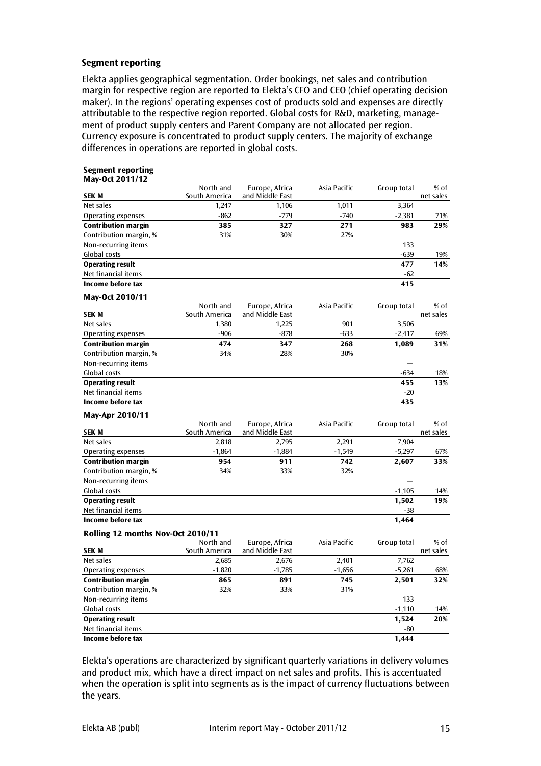#### **Segment reporting**

Elekta applies geographical segmentation. Order bookings, net sales and contribution margin for respective region are reported to Elekta's CFO and CEO (chief operating decision maker). In the regions' operating expenses cost of products sold and expenses are directly attributable to the respective region reported. Global costs for R&D, marketing, management of product supply centers and Parent Company are not allocated per region. Currency exposure is concentrated to product supply centers. The majority of exchange differences in operations are reported in global costs.

#### **Segment reporting May-Oct 2011/12**

| <b>SEK M</b>                      | North and<br>South America | Europe, Africa<br>and Middle East | Asia Pacific | Group total | % of<br>net sales   |  |
|-----------------------------------|----------------------------|-----------------------------------|--------------|-------------|---------------------|--|
| Net sales                         | 1,247                      | 1,106                             | 1,011        | 3,364       |                     |  |
| Operating expenses                | $-862$                     | $-779$                            | $-740$       | $-2,381$    | 71%                 |  |
| <b>Contribution margin</b>        | 385                        | 327                               | 271          | 983         | 29%                 |  |
| Contribution margin, %            | 31%                        | 30%                               | 27%          |             |                     |  |
| Non-recurring items               |                            |                                   |              | 133         |                     |  |
| Global costs                      |                            |                                   |              | $-639$      | 19%                 |  |
| <b>Operating result</b>           |                            |                                   |              | 477         | 14%                 |  |
| Net financial items               |                            |                                   |              | $-62$       |                     |  |
| Income before tax                 |                            |                                   |              | 415         |                     |  |
| May-Oct 2010/11                   |                            |                                   |              |             |                     |  |
| <b>SEK M</b>                      | North and<br>South America | Europe, Africa<br>and Middle East | Asia Pacific | Group total | $%$ of<br>net sales |  |
| Net sales                         | 1,380                      | 1,225                             | 901          | 3,506       |                     |  |
| <b>Operating expenses</b>         | $-906$                     | $-878$                            | $-633$       | $-2,417$    | 69%                 |  |
| <b>Contribution margin</b>        | 474                        | 347                               | 268          | 1,089       | 31%                 |  |
| Contribution margin, %            | 34%                        | 28%                               | 30%          |             |                     |  |
| Non-recurring items               |                            |                                   |              |             |                     |  |
| Global costs                      |                            |                                   |              | $-634$      | 18%                 |  |
| <b>Operating result</b>           |                            |                                   |              | 455         | 13%                 |  |
| Net financial items               |                            |                                   |              | $-20$       |                     |  |
| Income before tax                 |                            |                                   |              | 435         |                     |  |
| May-Apr 2010/11                   |                            |                                   |              |             |                     |  |
| <b>SEK M</b>                      | North and<br>South America | Europe, Africa<br>and Middle East | Asia Pacific | Group total | $%$ of<br>net sales |  |
| Net sales                         | 2,818                      | 2,795                             | 2,291        | 7,904       |                     |  |
| Operating expenses                | $-1,864$                   | $-1,884$                          | $-1,549$     | $-5,297$    | 67%                 |  |
| <b>Contribution margin</b>        | 954                        | 911                               | 742          | 2,607       | 33%                 |  |
| Contribution margin, %            | 34%                        | 33%                               | 32%          |             |                     |  |
| Non-recurring items               |                            |                                   |              |             |                     |  |
| Global costs                      |                            |                                   |              | $-1,105$    | 14%                 |  |
| <b>Operating result</b>           |                            |                                   |              | 1,502       | 19%                 |  |
| Net financial items               |                            |                                   |              | -38         |                     |  |
| Income before tax                 |                            |                                   |              | 1,464       |                     |  |
| Rolling 12 months Nov-Oct 2010/11 |                            |                                   |              |             |                     |  |
|                                   | North and                  | Europe, Africa                    | Asia Pacific | Group total | $%$ of              |  |
| <b>SEK M</b>                      | South America              | and Middle East                   |              |             | net sales           |  |
| Net sales                         | 2,685                      | 2,676                             | 2,401        | 7,762       |                     |  |
| Operating expenses                | $-1,820$                   | $-1,785$                          | $-1,656$     | $-5,261$    | 68%                 |  |
| <b>Contribution margin</b>        | 865                        | 891                               | 745          | 2,501       | 32%                 |  |
| Contribution margin, %            | 32%                        | 33%                               | 31%          |             |                     |  |
| Non-recurring items               |                            |                                   |              | 133         |                     |  |
| Global costs                      |                            |                                   |              | $-1,110$    | 14%                 |  |
| <b>Operating result</b>           |                            |                                   |              | 1,524       | 20%                 |  |
| Net financial items               |                            |                                   |              | $-80$       |                     |  |
| Income before tax                 |                            |                                   |              | 1,444       |                     |  |

Elekta's operations are characterized by significant quarterly variations in delivery volumes and product mix, which have a direct impact on net sales and profits. This is accentuated when the operation is split into segments as is the impact of currency fluctuations between the years.